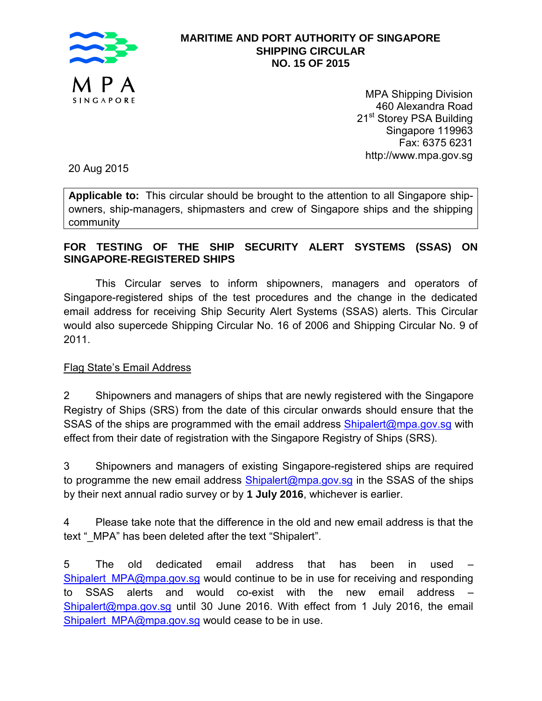

# **MARITIME AND PORT AUTHORITY OF SINGAPORE SHIPPING CIRCULAR NO. 15 OF 2015**

MPA Shipping Division 460 Alexandra Road 21<sup>st</sup> Storey PSA Building Singapore 119963 Fax: 6375 6231 http://www.mpa.gov.sg

20 Aug 2015

**Applicable to:** This circular should be brought to the attention to all Singapore shipowners, ship-managers, shipmasters and crew of Singapore ships and the shipping community

### **FOR TESTING OF THE SHIP SECURITY ALERT SYSTEMS (SSAS) ON SINGAPORE-REGISTERED SHIPS**

This Circular serves to inform shipowners, managers and operators of Singapore-registered ships of the test procedures and the change in the dedicated email address for receiving Ship Security Alert Systems (SSAS) alerts. This Circular would also supercede Shipping Circular No. 16 of 2006 and Shipping Circular No. 9 of 2011.

### Flag State's Email Address

2 Shipowners and managers of ships that are newly registered with the Singapore Registry of Ships (SRS) from the date of this circular onwards should ensure that the SSAS of the ships are programmed with the email address **Shipalert@mpa.gov.sg** with effect from their date of registration with the Singapore Registry of Ships (SRS).

3 Shipowners and managers of existing Singapore-registered ships are required to programme the new email address [Shipalert@mpa.gov.sg](mailto:Shipalert@mpa.gov.sg) in the SSAS of the ships by their next annual radio survey or by **1 July 2016**, whichever is earlier.

4 Please take note that the difference in the old and new email address is that the text " MPA" has been deleted after the text "Shipalert".

5 The old dedicated email address that has been in used – [Shipalert\\_MPA@mpa.gov.sg](mailto:Shipalert_MPA@mpa.gov.sg) would continue to be in use for receiving and responding to SSAS alerts and would co-exist with the new email address – [Shipalert@mpa.gov.sg](mailto:Shipalert@mpa.gov.sg) until 30 June 2016. With effect from 1 July 2016, the email [Shipalert\\_MPA@mpa.gov.sg](mailto:Shipalert_MPA@mpa.gov.sg) would cease to be in use.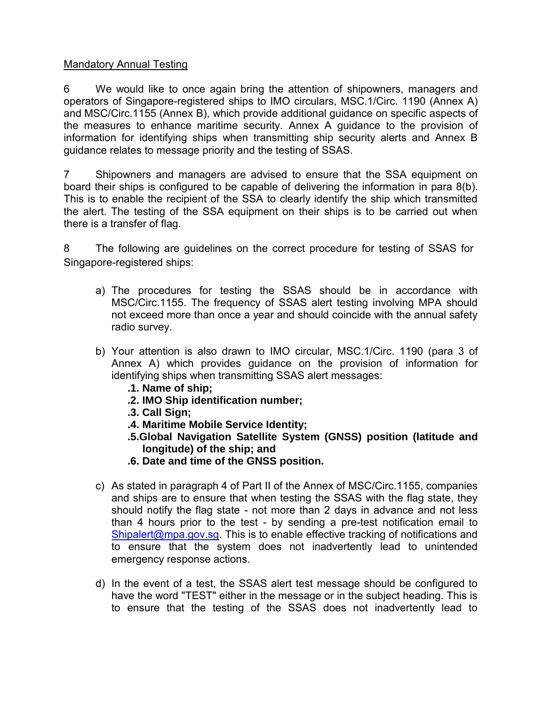#### Mandatory Annual Testing

6 We would like to once again bring the attention of shipowners, managers and operators of Singapore-registered ships to IMO circulars, MSC.1/Circ. 1190 (Annex A) and MSC/Circ.1155 (Annex B), which provide additional guidance on specific aspects of the measures to enhance maritime security. Annex A guidance to the provision of information for identifying ships when transmitting ship security alerts and Annex B guidance relates to message priority and the testing of SSAS.

7 Shipowners and managers are advised to ensure that the SSA equipment on board their ships is configured to be capable of delivering the information in para 8(b). This is to enable the recipient of the SSA to clearly identify the ship which transmitted the alert. The testing of the SSA equipment on their ships is to be carried out when there is a transfer of flag.

8 The following are guidelines on the correct procedure for testing of SSAS for Singapore-registered ships:

- a) The procedures for testing the SSAS should be in accordance with MSC/Circ.1155. The frequency of SSAS alert testing involving MPA should not exceed more than once a year and should coincide with the annual safety radio survey.
- b) Your attention is also drawn to IMO circular, MSC.1/Circ. 1190 (para 3 of Annex A) which provides guidance on the provision of information for identifying ships when transmitting SSAS alert messages:
	- **.1. Name of ship;**
	- **.2. IMO Ship identification number;**
	- **.3. Call Sign;**
	- **.4. Maritime Mobile Service Identity;**
	- **.5.Global Navigation Satellite System (GNSS) position (latitude and longitude) of the ship; and**
	- **.6. Date and time of the GNSS position.**
- c) As stated in paragraph 4 of Part II of the Annex of MSC/Circ.1155, companies and ships are to ensure that when testing the SSAS with the flag state, they should notify the flag state - not more than 2 days in advance and not less than 4 hours prior to the test - by sending a pre-test notification email to [Shipalert@mpa.gov.sg.](mailto:Shipalert@mpa.gov.sg) This is to enable effective tracking of notifications and to ensure that the system does not inadvertently lead to unintended emergency response actions.
- d) In the event of a test, the SSAS alert test message should be configured to have the word "TEST" either in the message or in the subject heading. This is to ensure that the testing of the SSAS does not inadvertently lead to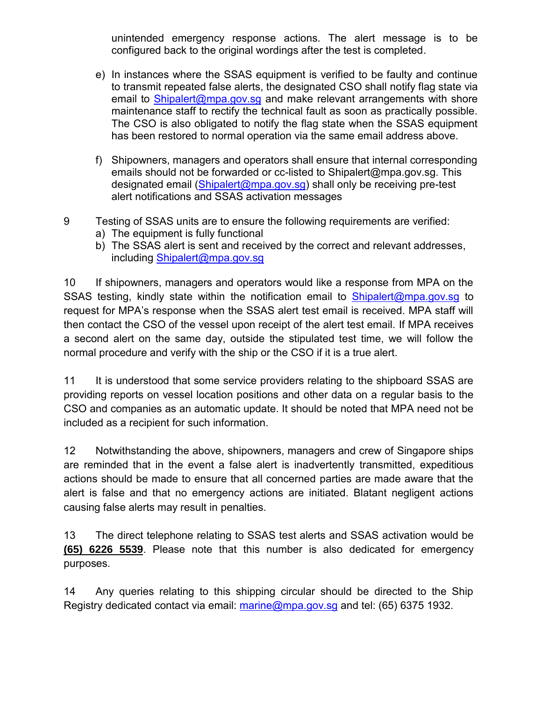unintended emergency response actions. The alert message is to be configured back to the original wordings after the test is completed.

- e) In instances where the SSAS equipment is verified to be faulty and continue to transmit repeated false alerts, the designated CSO shall notify flag state via email to [Shipalert@mpa.gov.sg](mailto:Shipalert@mpa.gov.sg) and make relevant arrangements with shore maintenance staff to rectify the technical fault as soon as practically possible. The CSO is also obligated to notify the flag state when the SSAS equipment has been restored to normal operation via the same email address above.
- f) Shipowners, managers and operators shall ensure that internal corresponding emails should not be forwarded or cc-listed to Shipalert@mpa.gov.sg. This designated email [\(Shipalert@mpa.gov.sg\)](mailto:Shipalert@mpa.gov.sg) shall only be receiving pre-test alert notifications and SSAS activation messages
- 9 Testing of SSAS units are to ensure the following requirements are verified:
	- a) The equipment is fully functional
	- b) The SSAS alert is sent and received by the correct and relevant addresses, including Shipalert@mpa.gov.sg

10 If shipowners, managers and operators would like a response from MPA on the SSAS testing, kindly state within the notification email to **Shipalert@mpa.gov.sg** to request for MPA's response when the SSAS alert test email is received. MPA staff will then contact the CSO of the vessel upon receipt of the alert test email. If MPA receives a second alert on the same day, outside the stipulated test time, we will follow the normal procedure and verify with the ship or the CSO if it is a true alert.

11 It is understood that some service providers relating to the shipboard SSAS are providing reports on vessel location positions and other data on a regular basis to the CSO and companies as an automatic update. It should be noted that MPA need not be included as a recipient for such information.

12 Notwithstanding the above, shipowners, managers and crew of Singapore ships are reminded that in the event a false alert is inadvertently transmitted, expeditious actions should be made to ensure that all concerned parties are made aware that the alert is false and that no emergency actions are initiated. Blatant negligent actions causing false alerts may result in penalties.

13 The direct telephone relating to SSAS test alerts and SSAS activation would be **(65) 6226 5539**. Please note that this number is also dedicated for emergency purposes.

14 Any queries relating to this shipping circular should be directed to the Ship Registry dedicated contact via email: [marine@mpa.gov.sg](mailto:marine@mpa.gov.sg) and tel: (65) 6375 1932.